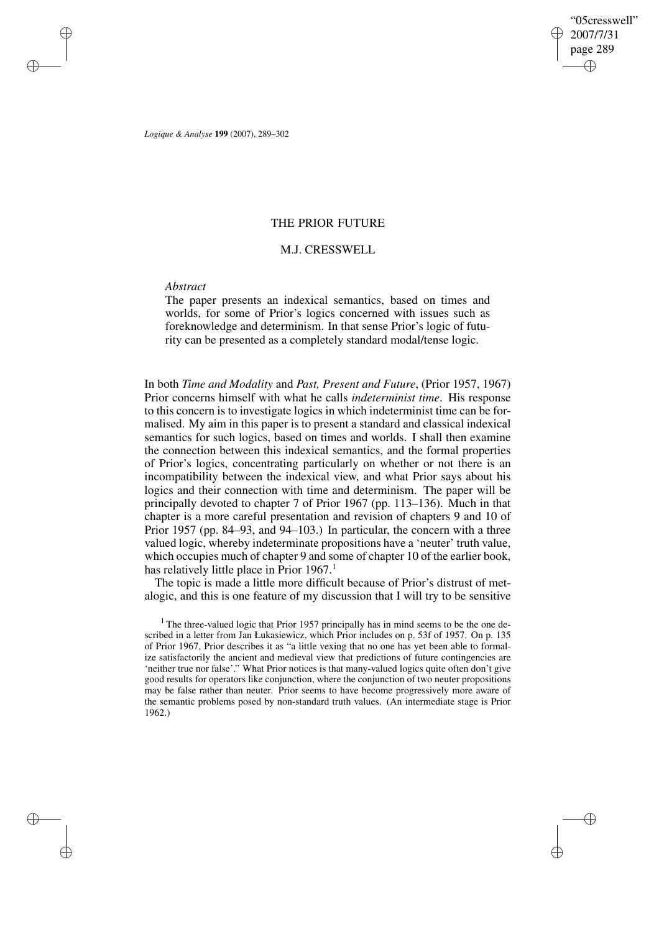"05cresswell" 2007/7/31 page 289 ✐ ✐

✐

✐

*Logique & Analyse* **199** (2007), 289–302

# THE PRIOR FUTURE

# M.J. CRESSWELL

### *Abstract*

✐

✐

✐

✐

The paper presents an indexical semantics, based on times and worlds, for some of Prior's logics concerned with issues such as foreknowledge and determinism. In that sense Prior's logic of futurity can be presented as a completely standard modal/tense logic.

In both *Time and Modality* and *Past, Present and Future*, (Prior 1957, 1967) Prior concerns himself with what he calls *indeterminist time*. His response to this concern is to investigate logics in which indeterminist time can be formalised. My aim in this paper is to present a standard and classical indexical semantics for such logics, based on times and worlds. I shall then examine the connection between this indexical semantics, and the formal properties of Prior's logics, concentrating particularly on whether or not there is an incompatibility between the indexical view, and what Prior says about his logics and their connection with time and determinism. The paper will be principally devoted to chapter 7 of Prior 1967 (pp. 113–136). Much in that chapter is a more careful presentation and revision of chapters 9 and 10 of Prior 1957 (pp. 84–93, and 94–103.) In particular, the concern with a three valued logic, whereby indeterminate propositions have a 'neuter' truth value, which occupies much of chapter 9 and some of chapter 10 of the earlier book, has relatively little place in Prior 1967.<sup>1</sup>

The topic is made a little more difficult because of Prior's distrust of metalogic, and this is one feature of my discussion that I will try to be sensitive

<sup>1</sup> The three-valued logic that Prior 1957 principally has in mind seems to be the one described in a letter from Jan Łukasiewicz, which Prior includes on p. 53f of 1957. On p. 135 of Prior 1967, Prior describes it as "a little vexing that no one has yet been able to formalize satisfactorily the ancient and medieval view that predictions of future contingencies are 'neither true nor false'." What Prior notices is that many-valued logics quite often don't give good results for operators like conjunction, where the conjunction of two neuter propositions may be false rather than neuter. Prior seems to have become progressively more aware of the semantic problems posed by non-standard truth values. (An intermediate stage is Prior 1962.)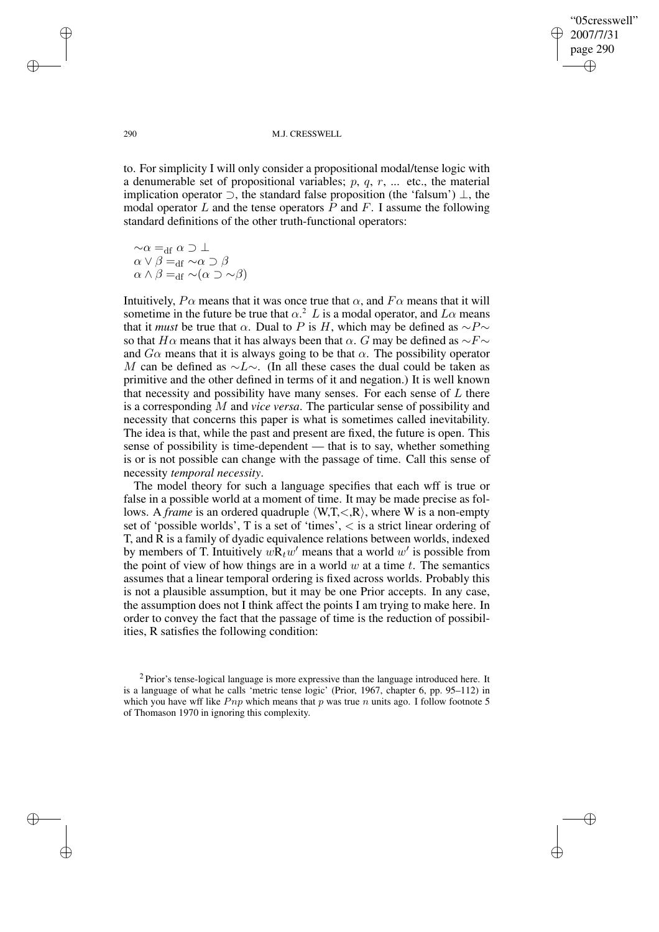✐

✐

#### 290 M.J. CRESSWELL

to. For simplicity I will only consider a propositional modal/tense logic with a denumerable set of propositional variables;  $p, q, r, ...$  etc., the material implication operator  $\supset$ , the standard false proposition (the 'falsum')  $\perp$ , the modal operator L and the tense operators P and F. I assume the following standard definitions of the other truth-functional operators:

 $\sim \alpha =_{\text{df}} \alpha \supset \bot$  $\alpha \vee \beta =_{df} \sim \alpha \supset \beta$  $\alpha \wedge \beta =_{\text{df}} \neg(\alpha \supset \neg \beta)$ 

Intuitively,  $P\alpha$  means that it was once true that  $\alpha$ , and  $F\alpha$  means that it will sometime in the future be true that  $\alpha$ <sup>2</sup> L is a modal operator, and  $L\alpha$  means that it *must* be true that  $\alpha$ . Dual to P is H, which may be defined as  $\sim P \sim$ so that H $\alpha$  means that it has always been that  $\alpha$ . G may be defined as  $\sim$ F $\sim$ and  $G\alpha$  means that it is always going to be that  $\alpha$ . The possibility operator M can be defined as  $\sim L \sim$ . (In all these cases the dual could be taken as primitive and the other defined in terms of it and negation.) It is well known that necessity and possibility have many senses. For each sense of  $L$  there is a corresponding M and *vice versa*. The particular sense of possibility and necessity that concerns this paper is what is sometimes called inevitability. The idea is that, while the past and present are fixed, the future is open. This sense of possibility is time-dependent — that is to say, whether something is or is not possible can change with the passage of time. Call this sense of necessity *temporal necessity*.

The model theory for such a language specifies that each wff is true or false in a possible world at a moment of time. It may be made precise as follows. A *frame* is an ordered quadruple  $\langle W, T, \langle R \rangle$ , where W is a non-empty set of 'possible worlds', T is a set of 'times', < is a strict linear ordering of T, and R is a family of dyadic equivalence relations between worlds, indexed by members of T. Intuitively  $w\dot{\mathbf{R}}_tw'$  means that a world  $w'$  is possible from the point of view of how things are in a world  $w$  at a time  $t$ . The semantics assumes that a linear temporal ordering is fixed across worlds. Probably this is not a plausible assumption, but it may be one Prior accepts. In any case, the assumption does not I think affect the points I am trying to make here. In order to convey the fact that the passage of time is the reduction of possibilities, R satisfies the following condition:

✐

✐

✐

 $2$  Prior's tense-logical language is more expressive than the language introduced here. It is a language of what he calls 'metric tense logic' (Prior, 1967, chapter 6, pp. 95–112) in which you have wff like  $Pnp$  which means that p was true n units ago. I follow footnote 5 of Thomason 1970 in ignoring this complexity.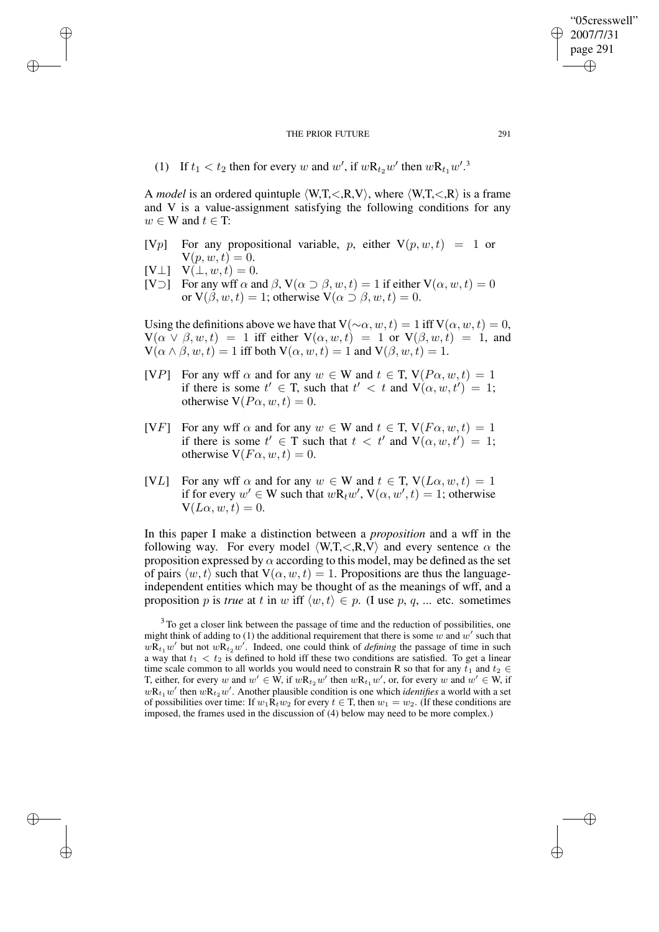(1) If  $t_1 < t_2$  then for every w and w', if  $w\mathbf{R}_{t_2}w'$  then  $w\mathbf{R}_{t_1}w'$ .

A *model* is an ordered quintuple  $\langle W, T, \langle R, V \rangle$ , where  $\langle W, T, \langle R \rangle$  is a frame and V is a value-assignment satisfying the following conditions for any  $w \in W$  and  $t \in T$ :

- [Vp] For any propositional variable, p, either  $V(p, w, t) = 1$  or  $V(p, w, t) = 0.$
- $[V \perp]$   $V(\perp, w, t) = 0.$

✐

✐

✐

✐

[V $\supset$ ] For any wff  $\alpha$  and  $\beta$ ,  $V(\alpha \supset \beta, w, t) = 1$  if either  $V(\alpha, w, t) = 0$ or  $V(\beta, w, t) = 1$ ; otherwise  $V(\alpha \supset \beta, w, t) = 0$ .

Using the definitions above we have that  $V(\sim \alpha, w, t) = 1$  iff  $V(\alpha, w, t) = 0$ ,  $V(\alpha \vee \beta, w, t) = 1$  iff either  $V(\alpha, w, t) = 1$  or  $V(\beta, w, t) = 1$ , and  $V(\alpha \wedge \beta, w, t) = 1$  iff both  $V(\alpha, w, t) = 1$  and  $V(\beta, w, t) = 1$ .

- [VP] For any wff  $\alpha$  and for any  $w \in W$  and  $t \in T$ ,  $V(P\alpha, w, t) = 1$ if there is some  $t' \in T$ , such that  $t' < t$  and  $V(\alpha, w, t') = 1$ ; otherwise  $V(P\alpha, w, t) = 0$ .
- [VF] For any wff  $\alpha$  and for any  $w \in W$  and  $t \in T$ ,  $V(F\alpha, w, t) = 1$ if there is some  $t' \in T$  such that  $t < t'$  and  $V(\alpha, w, t') = 1$ ; otherwise  $V(F\alpha, w, t) = 0$ .
- [VL] For any wff  $\alpha$  and for any  $w \in W$  and  $t \in T$ ,  $V(L\alpha, w, t) = 1$ if for every  $w' \in W$  such that  $w \mathbf{R}_t w'$ ,  $V(\alpha, w', t) = 1$ ; otherwise  $V(L\alpha, w, t) = 0.$

In this paper I make a distinction between a *proposition* and a wff in the following way. For every model  $\langle W, T, \langle R, V \rangle$  and every sentence  $\alpha$  the proposition expressed by  $\alpha$  according to this model, may be defined as the set of pairs  $\langle w, t \rangle$  such that  $V(\alpha, w, t) = 1$ . Propositions are thus the languageindependent entities which may be thought of as the meanings of wff, and a proposition p is *true* at t in w iff  $\langle w, t \rangle \in p$ . (I use p, q, ... etc. sometimes

<sup>3</sup>To get a closer link between the passage of time and the reduction of possibilities, one might think of adding to (1) the additional requirement that there is some  $w$  and  $w'$  such that  $w\overline{R}_{t_1}w'$  but not  $w\overline{R}_{t_2}w'$ . Indeed, one could think of *defining* the passage of time in such a way that  $t_1 < t_2$  is defined to hold iff these two conditions are satisfied. To get a linear time scale common to all worlds you would need to constrain R so that for any  $t_1$  and  $t_2 \in$ T, either, for every w and  $w' \in W$ , if  $wR_{t_2}w'$  then  $wR_{t_1}w'$ , or, for every w and  $w' \in W$ , if  $wR_{t_1}w'$  then  $wR_{t_2}w'$ . Another plausible condition is one which *identifies* a world with a set of possibilities over time: If  $w_1 \mathbf{R}_t w_2$  for every  $t \in \mathcal{T}$ , then  $w_1 = w_2$ . (If these conditions are imposed, the frames used in the discussion of (4) below may need to be more complex.)

"05cresswell" 2007/7/31 page 291

✐

✐

✐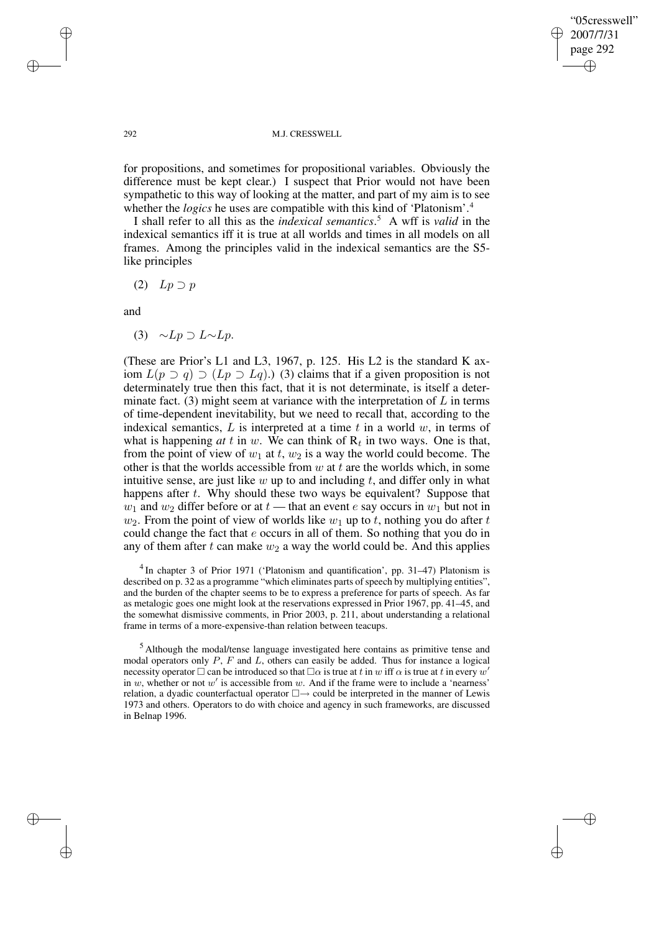✐

✐

#### 292 M.J. CRESSWELL

for propositions, and sometimes for propositional variables. Obviously the difference must be kept clear.) I suspect that Prior would not have been sympathetic to this way of looking at the matter, and part of my aim is to see whether the *logics* he uses are compatible with this kind of 'Platonism'.<sup>4</sup>

I shall refer to all this as the *indexical semantics*. <sup>5</sup> A wff is *valid* in the indexical semantics iff it is true at all worlds and times in all models on all frames. Among the principles valid in the indexical semantics are the S5 like principles

(2)  $Lp \supset p$ 

and

(3)  $∼Lp ⊇ L∼Lp$ .

(These are Prior's L1 and L3, 1967, p. 125. His L2 is the standard K axiom  $L(p ⊇ q) ⊇ (Lp ⊇ Lq)$ .) (3) claims that if a given proposition is not determinately true then this fact, that it is not determinate, is itself a determinate fact. (3) might seem at variance with the interpretation of  $L$  in terms of time-dependent inevitability, but we need to recall that, according to the indexical semantics,  $L$  is interpreted at a time  $t$  in a world  $w$ , in terms of what is happening  $at \, t$  in  $w$ . We can think of  $R_t$  in two ways. One is that, from the point of view of  $w_1$  at t,  $w_2$  is a way the world could become. The other is that the worlds accessible from  $w$  at  $t$  are the worlds which, in some intuitive sense, are just like  $w$  up to and including  $t$ , and differ only in what happens after t. Why should these two ways be equivalent? Suppose that  $w_1$  and  $w_2$  differ before or at  $t$  — that an event e say occurs in  $w_1$  but not in  $w_2$ . From the point of view of worlds like  $w_1$  up to t, nothing you do after t could change the fact that e occurs in all of them. So nothing that you do in any of them after t can make  $w_2$  a way the world could be. And this applies

<sup>4</sup> In chapter 3 of Prior 1971 ('Platonism and quantification', pp. 31–47) Platonism is described on p. 32 as a programme "which eliminates parts of speech by multiplying entities", and the burden of the chapter seems to be to express a preference for parts of speech. As far as metalogic goes one might look at the reservations expressed in Prior 1967, pp. 41–45, and the somewhat dismissive comments, in Prior 2003, p. 211, about understanding a relational frame in terms of a more-expensive-than relation between teacups.

<sup>5</sup> Although the modal/tense language investigated here contains as primitive tense and modal operators only  $P$ ,  $F$  and  $L$ , others can easily be added. Thus for instance a logical necessity operator  $\Box$  can be introduced so that  $\Box \alpha$  is true at t in w iff  $\alpha$  is true at t in every w' in w, whether or not  $w'$  is accessible from w. And if the frame were to include a 'nearness' relation, a dyadic counterfactual operator  $\square \rightarrow$  could be interpreted in the manner of Lewis 1973 and others. Operators to do with choice and agency in such frameworks, are discussed in Belnap 1996.

✐

✐

✐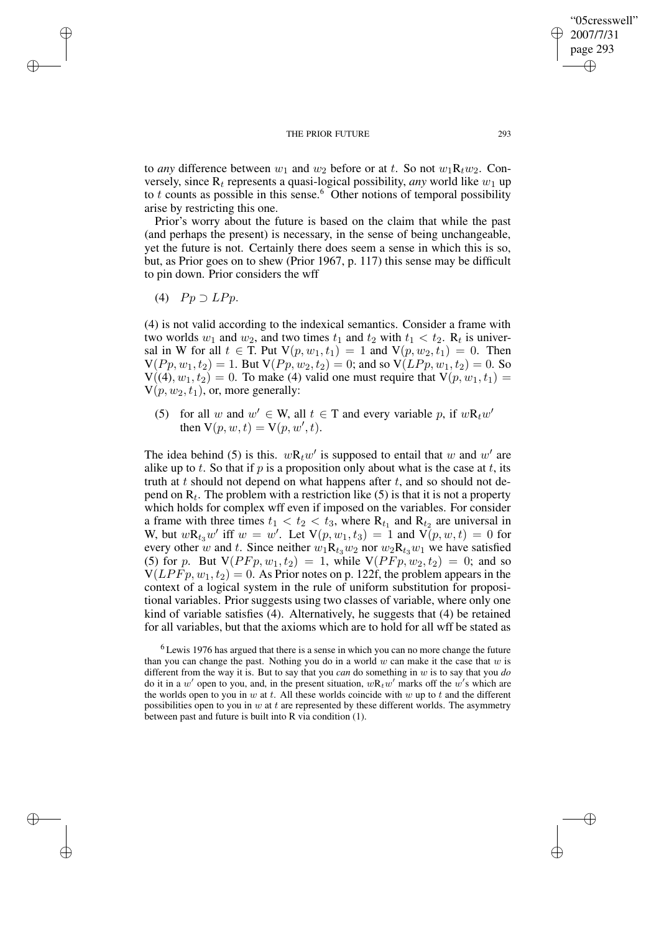to *any* difference between  $w_1$  and  $w_2$  before or at t. So not  $w_1R_tw_2$ . Conversely, since  $R_t$  represents a quasi-logical possibility, *any* world like  $w_1$  up to t counts as possible in this sense.<sup>6</sup> Other notions of temporal possibility arise by restricting this one.

Prior's worry about the future is based on the claim that while the past (and perhaps the present) is necessary, in the sense of being unchangeable, yet the future is not. Certainly there does seem a sense in which this is so, but, as Prior goes on to shew (Prior 1967, p. 117) this sense may be difficult to pin down. Prior considers the wff

(4)  $Pp \supset LPp$ .

✐

✐

✐

✐

(4) is not valid according to the indexical semantics. Consider a frame with two worlds  $w_1$  and  $w_2$ , and two times  $t_1$  and  $t_2$  with  $t_1 < t_2$ . R<sub>t</sub> is universal in W for all  $t \in T$ . Put  $V(p, w_1, t_1) = 1$  and  $V(p, w_2, t_1) = 0$ . Then  $V(Pp, w_1, t_2) = 1$ . But  $V(Pp, w_2, t_2) = 0$ ; and so  $V(LPp, w_1, t_2) = 0$ . So  $V((4), w_1, t_2) = 0$ . To make (4) valid one must require that  $V(p, w_1, t_1) =$  $V(p, w_2, t_1)$ , or, more generally:

(5) for all w and  $w' \in W$ , all  $t \in T$  and every variable p, if  $wR_t w'$ then  $V(p, w, t) = V(p, w', t)$ .

The idea behind (5) is this.  $wR_t w'$  is supposed to entail that w and w' are alike up to t. So that if p is a proposition only about what is the case at t, its truth at t should not depend on what happens after  $t$ , and so should not depend on  $R_t$ . The problem with a restriction like (5) is that it is not a property which holds for complex wff even if imposed on the variables. For consider a frame with three times  $t_1 < t_2 < t_3$ , where  $R_{t_1}$  and  $R_{t_2}$  are universal in W, but  $w\mathbf{R}_{t_3}w'$  iff  $w = w'$ . Let  $\mathsf{V}(p, w_1, t_3) = 1$  and  $\mathsf{V}(p, w, t) = 0$  for every other w and t. Since neither  $w_1 \mathbf{R}_{t_3} w_2$  nor  $w_2 \mathbf{R}_{t_3} w_1$  we have satisfied (5) for p. But  $V(PFp, w_1, t_2) = 1$ , while  $V(PFp, w_2, t_2) = 0$ ; and so  $V(LPFp, w_1, t_2) = 0$ . As Prior notes on p. 122f, the problem appears in the context of a logical system in the rule of uniform substitution for propositional variables. Prior suggests using two classes of variable, where only one kind of variable satisfies (4). Alternatively, he suggests that (4) be retained for all variables, but that the axioms which are to hold for all wff be stated as

 $6$  Lewis 1976 has argued that there is a sense in which you can no more change the future than you can change the past. Nothing you do in a world w can make it the case that w is different from the way it is. But to say that you *can* do something in w is to say that you *do* do it in a w' open to you, and, in the present situation,  $wR_t w'$  marks off the w's which are the worlds open to you in w at t. All these worlds coincide with  $w$  up to t and the different possibilities open to you in  $w$  at  $t$  are represented by these different worlds. The asymmetry between past and future is built into R via condition (1).

"05cresswell" 2007/7/31 page 293

✐

✐

✐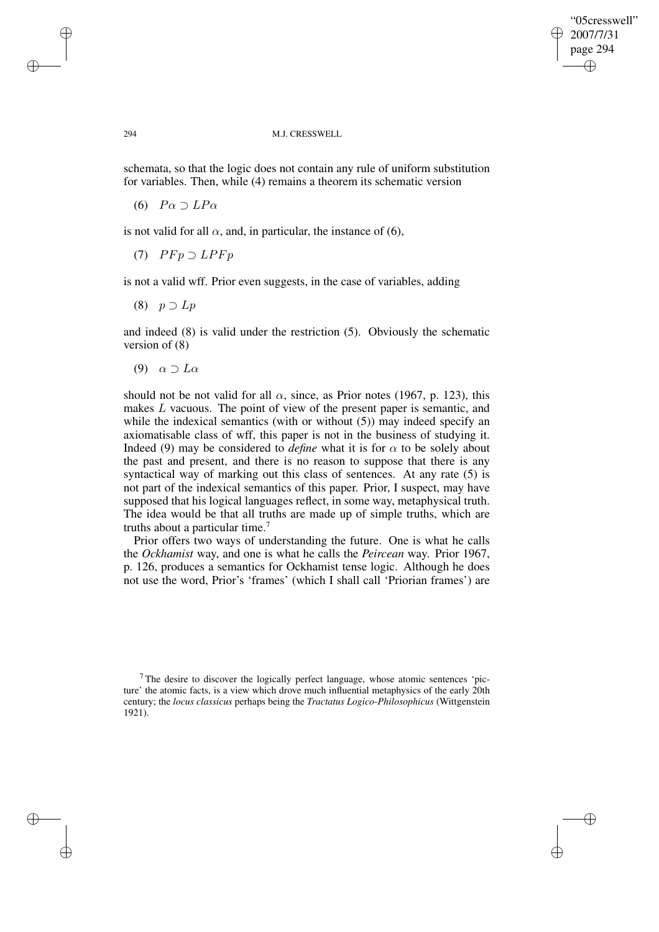✐

✐

#### 294 M.J. CRESSWELL

schemata, so that the logic does not contain any rule of uniform substitution for variables. Then, while (4) remains a theorem its schematic version

(6)  $P\alpha \supset LP\alpha$ 

✐

✐

✐

✐

is not valid for all  $\alpha$ , and, in particular, the instance of (6),

(7)  $P F p \supset L P F p$ 

is not a valid wff. Prior even suggests, in the case of variables, adding

(8)  $p \supset Lp$ 

and indeed (8) is valid under the restriction (5). Obviously the schematic version of (8)

(9)  $\alpha \supset L\alpha$ 

should not be not valid for all  $\alpha$ , since, as Prior notes (1967, p. 123), this makes L vacuous. The point of view of the present paper is semantic, and while the indexical semantics (with or without  $(5)$ ) may indeed specify an axiomatisable class of wff, this paper is not in the business of studying it. Indeed (9) may be considered to *define* what it is for  $\alpha$  to be solely about the past and present, and there is no reason to suppose that there is any syntactical way of marking out this class of sentences. At any rate (5) is not part of the indexical semantics of this paper. Prior, I suspect, may have supposed that his logical languages reflect, in some way, metaphysical truth. The idea would be that all truths are made up of simple truths, which are truths about a particular time.<sup>7</sup>

Prior offers two ways of understanding the future. One is what he calls the *Ockhamist* way, and one is what he calls the *Peircean* way. Prior 1967, p. 126, produces a semantics for Ockhamist tense logic. Although he does not use the word, Prior's 'frames' (which I shall call 'Priorian frames') are

 $<sup>7</sup>$  The desire to discover the logically perfect language, whose atomic sentences 'pic-</sup> ture' the atomic facts, is a view which drove much influential metaphysics of the early 20th century; the *locus classicus* perhaps being the *Tractatus Logico-Philosophicus* (Wittgenstein 1921).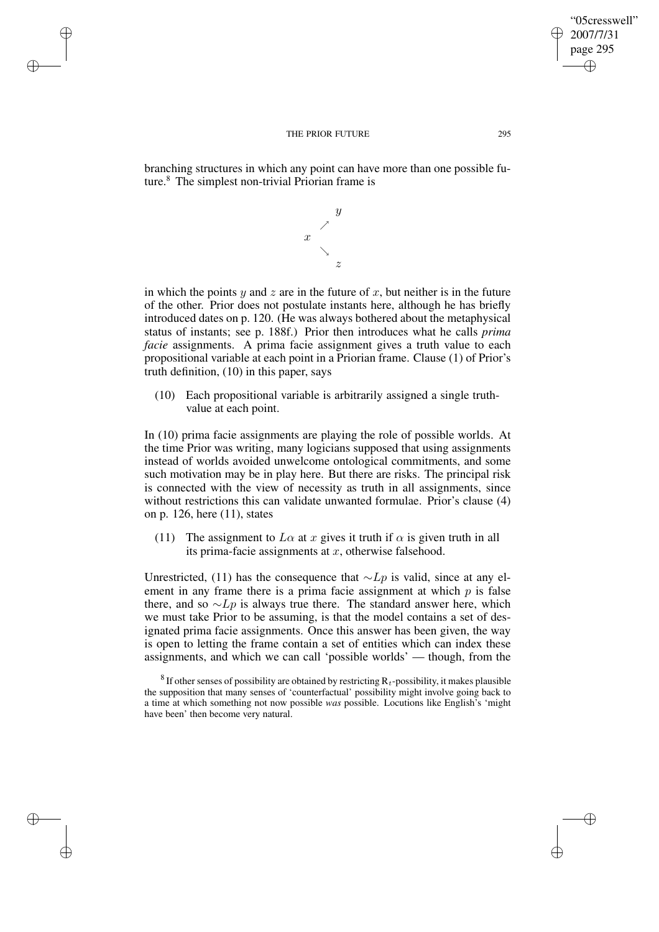✐

✐

✐

✐

branching structures in which any point can have more than one possible future.<sup>8</sup> The simplest non-trivial Priorian frame is

> $\hat{y}$  $\diagup$  $\boldsymbol{x}$

z in which the points y and z are in the future of x, but neither is in the future of the other. Prior does not postulate instants here, although he has briefly introduced dates on p. 120. (He was always bothered about the metaphysical status of instants; see p. 188f.) Prior then introduces what he calls *prima facie* assignments. A prima facie assignment gives a truth value to each propositional variable at each point in a Priorian frame. Clause (1) of Prior's truth definition, (10) in this paper, says

&

(10) Each propositional variable is arbitrarily assigned a single truthvalue at each point.

In (10) prima facie assignments are playing the role of possible worlds. At the time Prior was writing, many logicians supposed that using assignments instead of worlds avoided unwelcome ontological commitments, and some such motivation may be in play here. But there are risks. The principal risk is connected with the view of necessity as truth in all assignments, since without restrictions this can validate unwanted formulae. Prior's clause (4) on p. 126, here (11), states

(11) The assignment to  $L\alpha$  at x gives it truth if  $\alpha$  is given truth in all its prima-facie assignments at  $x$ , otherwise falsehood.

Unrestricted, (11) has the consequence that  $\sim Lp$  is valid, since at any element in any frame there is a prima facie assignment at which  $p$  is false there, and so  $\sim L_p$  is always true there. The standard answer here, which we must take Prior to be assuming, is that the model contains a set of designated prima facie assignments. Once this answer has been given, the way is open to letting the frame contain a set of entities which can index these assignments, and which we can call 'possible worlds' — though, from the

<sup>8</sup> If other senses of possibility are obtained by restricting  $R_t$ -possibility, it makes plausible the supposition that many senses of 'counterfactual' possibility might involve going back to a time at which something not now possible *was* possible. Locutions like English's 'might have been' then become very natural.

"05cresswell" 2007/7/31 page 295

✐

✐

✐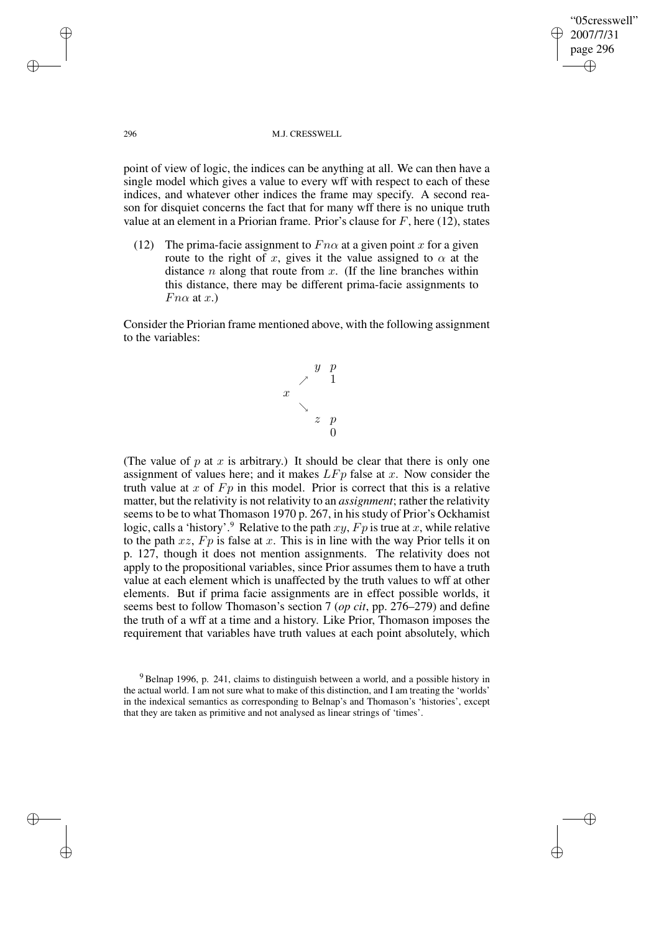#### 296 M.J. CRESSWELL

"05cresswell" 2007/7/31 page 296

✐

✐

✐

✐

point of view of logic, the indices can be anything at all. We can then have a single model which gives a value to every wff with respect to each of these indices, and whatever other indices the frame may specify. A second reason for disquiet concerns the fact that for many wff there is no unique truth value at an element in a Priorian frame. Prior's clause for  $F$ , here (12), states

(12) The prima-facie assignment to  $Fn\alpha$  at a given point x for a given route to the right of x, gives it the value assigned to  $\alpha$  at the distance  $n$  along that route from  $x$ . (If the line branches within this distance, there may be different prima-facie assignments to  $Fn\alpha$  at x.)

Consider the Priorian frame mentioned above, with the following assignment to the variables:



(The value of  $p$  at  $x$  is arbitrary.) It should be clear that there is only one assignment of values here; and it makes  $L F_p$  false at x. Now consider the truth value at  $x$  of  $F_p$  in this model. Prior is correct that this is a relative matter, but the relativity is not relativity to an *assignment*; rather the relativity seems to be to what Thomason 1970 p. 267, in his study of Prior's Ockhamist logic, calls a 'history'.<sup>9</sup> Relative to the path  $xy$ ,  $Fp$  is true at x, while relative to the path  $xz$ ,  $Fp$  is false at x. This is in line with the way Prior tells it on p. 127, though it does not mention assignments. The relativity does not apply to the propositional variables, since Prior assumes them to have a truth value at each element which is unaffected by the truth values to wff at other elements. But if prima facie assignments are in effect possible worlds, it seems best to follow Thomason's section 7 (*op cit*, pp. 276–279) and define the truth of a wff at a time and a history. Like Prior, Thomason imposes the requirement that variables have truth values at each point absolutely, which

✐

✐

✐

<sup>&</sup>lt;sup>9</sup> Belnap 1996, p. 241, claims to distinguish between a world, and a possible history in the actual world. I am not sure what to make of this distinction, and I am treating the 'worlds' in the indexical semantics as corresponding to Belnap's and Thomason's 'histories', except that they are taken as primitive and not analysed as linear strings of 'times'.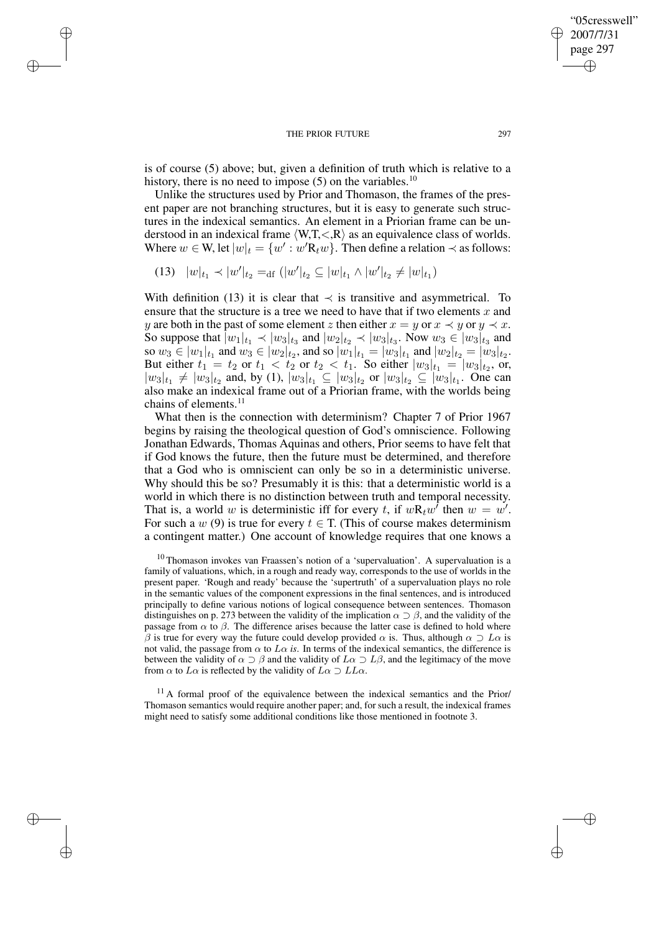is of course (5) above; but, given a definition of truth which is relative to a history, there is no need to impose  $(5)$  on the variables.<sup>10</sup>

Unlike the structures used by Prior and Thomason, the frames of the present paper are not branching structures, but it is easy to generate such structures in the indexical semantics. An element in a Priorian frame can be understood in an indexical frame  $\langle W, T, \langle R \rangle$  as an equivalence class of worlds. Where  $w \in W$ , let  $|w|_t = \{w' : w'R_t w\}$ . Then define a relation  $\prec$  as follows:

$$
(13) \quad |w|_{t_1} \prec |w'|_{t_2} =_{\text{df}} (|w'|_{t_2} \subseteq |w|_{t_1} \land |w'|_{t_2} \neq |w|_{t_1})
$$

✐

✐

✐

✐

With definition (13) it is clear that  $\prec$  is transitive and asymmetrical. To ensure that the structure is a tree we need to have that if two elements  $x$  and y are both in the past of some element z then either  $x = y$  or  $x \prec y$  or  $y \prec x$ . So suppose that  $|w_1|_{t_1} \prec |w_3|_{t_3}$  and  $|w_2|_{t_2} \prec |w_3|_{t_3}$ . Now  $w_3 \in |w_3|_{t_3}$  and so  $w_3 \in |w_1|_{t_1}$  and  $w_3 \in |w_2|_{t_2}$ , and so  $|w_1|_{t_1} = |w_3|_{t_1}$  and  $|w_2|_{t_2} = |w_3|_{t_2}$ . But either  $t_1 = t_2$  or  $t_1 < t_2$  or  $t_2 < t_1$ . So either  $|w_3|_{t_1} = |w_3|_{t_2}$ , or,  $|w_3|_{t_1} \neq |w_3|_{t_2}$  and, by (1),  $|w_3|_{t_1} \subseteq |w_3|_{t_2}$  or  $|w_3|_{t_2} \subseteq |w_3|_{t_1}$ . One can also make an indexical frame out of a Priorian frame, with the worlds being chains of elements. $^{11}$ 

What then is the connection with determinism? Chapter 7 of Prior 1967 begins by raising the theological question of God's omniscience. Following Jonathan Edwards, Thomas Aquinas and others, Prior seems to have felt that if God knows the future, then the future must be determined, and therefore that a God who is omniscient can only be so in a deterministic universe. Why should this be so? Presumably it is this: that a deterministic world is a world in which there is no distinction between truth and temporal necessity. That is, a world w is deterministic iff for every t, if  $wR_t w^{\dagger}$  then  $w = w'$ . For such a w (9) is true for every  $t \in T$ . (This of course makes determinism a contingent matter.) One account of knowledge requires that one knows a

 $10$  Thomason invokes van Fraassen's notion of a 'supervaluation'. A supervaluation is a family of valuations, which, in a rough and ready way, corresponds to the use of worlds in the present paper. 'Rough and ready' because the 'supertruth' of a supervaluation plays no role in the semantic values of the component expressions in the final sentences, and is introduced principally to define various notions of logical consequence between sentences. Thomason distinguishes on p. 273 between the validity of the implication  $\alpha \supset \beta$ , and the validity of the passage from  $\alpha$  to  $\beta$ . The difference arises because the latter case is defined to hold where β is true for every way the future could develop provided  $\alpha$  is. Thus, although  $\alpha \supset L\alpha$  is not valid, the passage from  $\alpha$  to  $L\alpha$  *is*. In terms of the indexical semantics, the difference is between the validity of  $\alpha \supset \beta$  and the validity of  $L\alpha \supset L\beta$ , and the legitimacy of the move from  $\alpha$  to  $L\alpha$  is reflected by the validity of  $L\alpha \supset LL\alpha$ .

 $11$  A formal proof of the equivalence between the indexical semantics and the Prior/ Thomason semantics would require another paper; and, for such a result, the indexical frames might need to satisfy some additional conditions like those mentioned in footnote 3.

"05cresswell" 2007/7/31 page 297

✐

✐

✐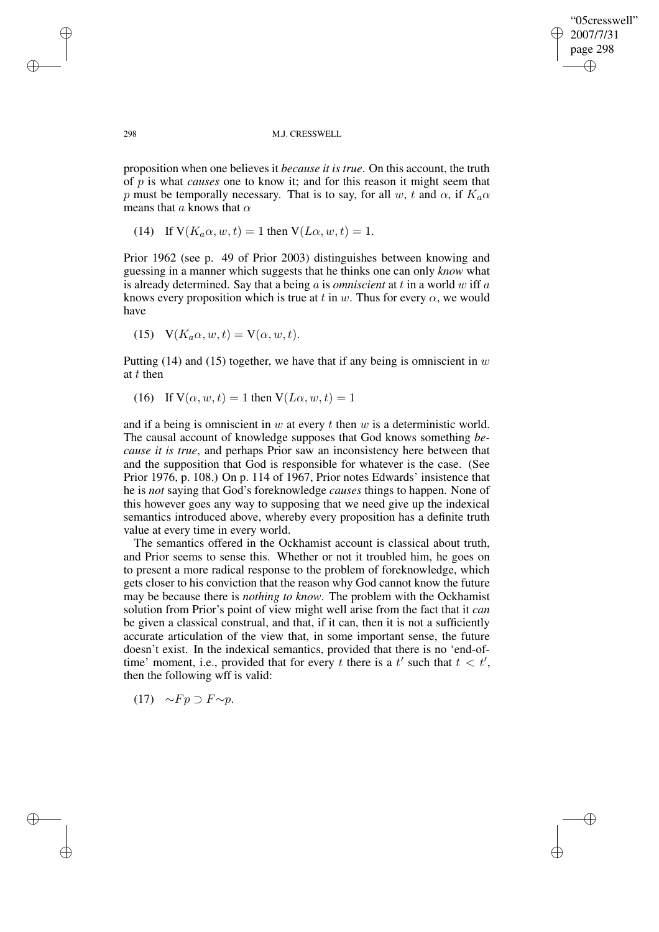"05cresswell" 2007/7/31 page 298 ✐ ✐

✐

✐

298 M.J. CRESSWELL

proposition when one believes it *because it is true*. On this account, the truth of p is what *causes* one to know it; and for this reason it might seem that p must be temporally necessary. That is to say, for all w, t and  $\alpha$ , if  $K_a\alpha$ means that a knows that  $\alpha$ 

(14) If 
$$
V(K_a \alpha, w, t) = 1
$$
 then  $V(L\alpha, w, t) = 1$ .

Prior 1962 (see p. 49 of Prior 2003) distinguishes between knowing and guessing in a manner which suggests that he thinks one can only *know* what is already determined. Say that a being a is *omniscient* at t in a world w iff a knows every proposition which is true at t in w. Thus for every  $\alpha$ , we would have

(15) 
$$
V(K_a \alpha, w, t) = V(\alpha, w, t).
$$

Putting (14) and (15) together, we have that if any being is omniscient in  $w$ at t then

(16) If  $V(\alpha, w, t) = 1$  then  $V(L\alpha, w, t) = 1$ 

and if a being is omniscient in  $w$  at every  $t$  then  $w$  is a deterministic world. The causal account of knowledge supposes that God knows something *because it is true*, and perhaps Prior saw an inconsistency here between that and the supposition that God is responsible for whatever is the case. (See Prior 1976, p. 108.) On p. 114 of 1967, Prior notes Edwards' insistence that he is *not* saying that God's foreknowledge *causes* things to happen. None of this however goes any way to supposing that we need give up the indexical semantics introduced above, whereby every proposition has a definite truth value at every time in every world.

The semantics offered in the Ockhamist account is classical about truth, and Prior seems to sense this. Whether or not it troubled him, he goes on to present a more radical response to the problem of foreknowledge, which gets closer to his conviction that the reason why God cannot know the future may be because there is *nothing to know*. The problem with the Ockhamist solution from Prior's point of view might well arise from the fact that it *can* be given a classical construal, and that, if it can, then it is not a sufficiently accurate articulation of the view that, in some important sense, the future doesn't exist. In the indexical semantics, provided that there is no 'end-oftime' moment, i.e., provided that for every t there is a  $t'$  such that  $t < t'$ , then the following wff is valid:

 $(17) \sim Fp \supset F \sim p$ .

✐

✐

✐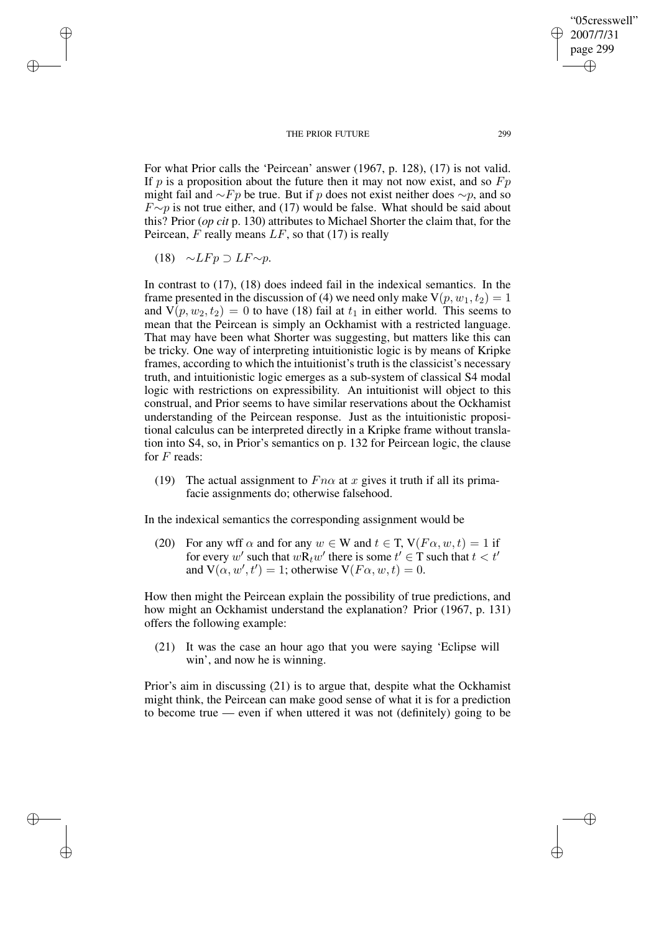For what Prior calls the 'Peircean' answer (1967, p. 128), (17) is not valid. If p is a proposition about the future then it may not now exist, and so  $F_p$ might fail and  $\sim Fp$  be true. But if p does not exist neither does  $\sim p$ , and so  $F \sim p$  is not true either, and (17) would be false. What should be said about this? Prior (*op cit* p. 130) attributes to Michael Shorter the claim that, for the Peircean,  $F$  really means  $LF$ , so that (17) is really

$$
(18) \quad \sim L F p \supset L F \sim p.
$$

✐

✐

✐

✐

In contrast to (17), (18) does indeed fail in the indexical semantics. In the frame presented in the discussion of (4) we need only make  $V(p, w_1, t_2) = 1$ and  $V(p, w_2, t_2) = 0$  to have (18) fail at  $t_1$  in either world. This seems to mean that the Peircean is simply an Ockhamist with a restricted language. That may have been what Shorter was suggesting, but matters like this can be tricky. One way of interpreting intuitionistic logic is by means of Kripke frames, according to which the intuitionist's truth is the classicist's necessary truth, and intuitionistic logic emerges as a sub-system of classical S4 modal logic with restrictions on expressibility. An intuitionist will object to this construal, and Prior seems to have similar reservations about the Ockhamist understanding of the Peircean response. Just as the intuitionistic propositional calculus can be interpreted directly in a Kripke frame without translation into S4, so, in Prior's semantics on p. 132 for Peircean logic, the clause for  $F$  reads:

(19) The actual assignment to  $Fn\alpha$  at x gives it truth if all its primafacie assignments do; otherwise falsehood.

In the indexical semantics the corresponding assignment would be

(20) For any wff  $\alpha$  and for any  $w \in W$  and  $t \in T$ ,  $V(F\alpha, w, t) = 1$  if for every w' such that  $w\overline{\mathbf{R}}_tw'$  there is some  $t' \in \mathcal{T}$  such that  $t < t'$ and  $V(\alpha, w', t') = 1$ ; otherwise  $V(F\alpha, w, t) = 0$ .

How then might the Peircean explain the possibility of true predictions, and how might an Ockhamist understand the explanation? Prior (1967, p. 131) offers the following example:

(21) It was the case an hour ago that you were saying 'Eclipse will win', and now he is winning.

Prior's aim in discussing (21) is to argue that, despite what the Ockhamist might think, the Peircean can make good sense of what it is for a prediction to become true — even if when uttered it was not (definitely) going to be

"05cresswell" 2007/7/31 page 299

✐

✐

✐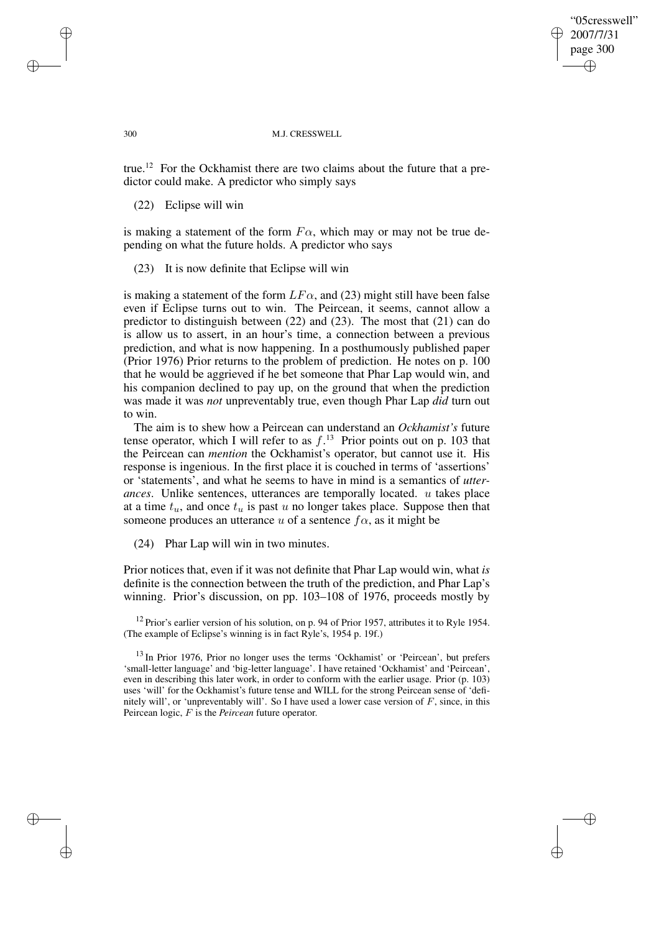"05cresswell" 2007/7/31 page 300 ✐ ✐

✐

✐

#### 300 M.J. CRESSWELL

true.<sup>12</sup> For the Ockhamist there are two claims about the future that a predictor could make. A predictor who simply says

# (22) Eclipse will win

is making a statement of the form  $F\alpha$ , which may or may not be true depending on what the future holds. A predictor who says

### (23) It is now definite that Eclipse will win

is making a statement of the form  $LF\alpha$ , and (23) might still have been false even if Eclipse turns out to win. The Peircean, it seems, cannot allow a predictor to distinguish between (22) and (23). The most that (21) can do is allow us to assert, in an hour's time, a connection between a previous prediction, and what is now happening. In a posthumously published paper (Prior 1976) Prior returns to the problem of prediction. He notes on p. 100 that he would be aggrieved if he bet someone that Phar Lap would win, and his companion declined to pay up, on the ground that when the prediction was made it was *not* unpreventably true, even though Phar Lap *did* turn out to win.

The aim is to shew how a Peircean can understand an *Ockhamist's* future tense operator, which I will refer to as  $f<sup>13</sup>$  Prior points out on p. 103 that the Peircean can *mention* the Ockhamist's operator, but cannot use it. His response is ingenious. In the first place it is couched in terms of 'assertions' or 'statements', and what he seems to have in mind is a semantics of *utterances*. Unlike sentences, utterances are temporally located. u takes place at a time  $t_u$ , and once  $t_u$  is past u no longer takes place. Suppose then that someone produces an utterance u of a sentence  $f\alpha$ , as it might be

(24) Phar Lap will win in two minutes.

Prior notices that, even if it was not definite that Phar Lap would win, what *is* definite is the connection between the truth of the prediction, and Phar Lap's winning. Prior's discussion, on pp. 103–108 of 1976, proceeds mostly by

 $12$  Prior's earlier version of his solution, on p. 94 of Prior 1957, attributes it to Ryle 1954. (The example of Eclipse's winning is in fact Ryle's, 1954 p. 19f.)

<sup>13</sup> In Prior 1976, Prior no longer uses the terms 'Ockhamist' or 'Peircean', but prefers 'small-letter language' and 'big-letter language'. I have retained 'Ockhamist' and 'Peircean', even in describing this later work, in order to conform with the earlier usage. Prior (p. 103) uses 'will' for the Ockhamist's future tense and WILL for the strong Peircean sense of 'definitely will', or 'unpreventably will'. So I have used a lower case version of  $F$ , since, in this Peircean logic, F is the *Peircean* future operator.

✐

✐

✐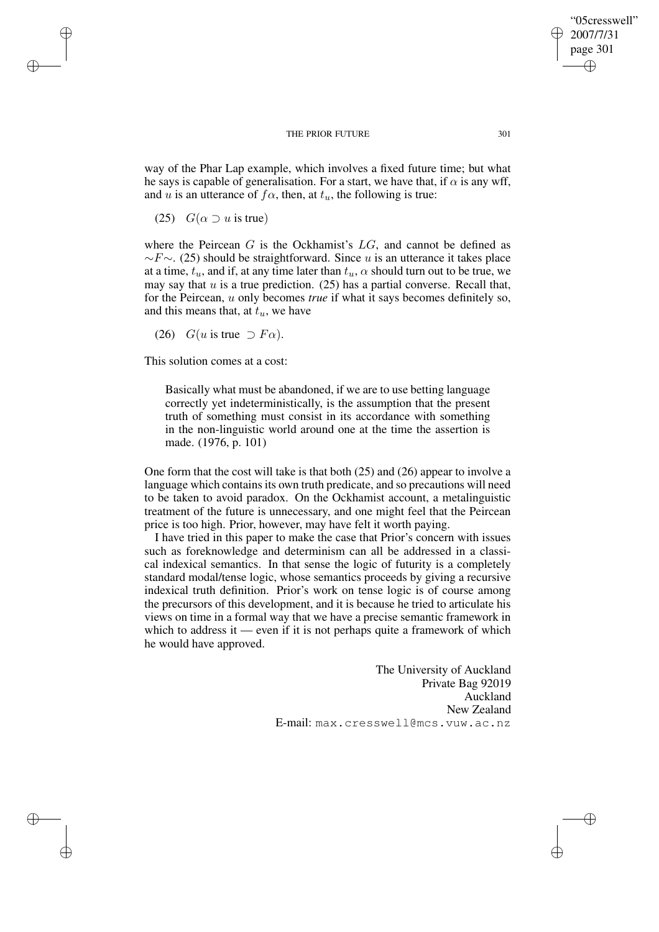way of the Phar Lap example, which involves a fixed future time; but what he says is capable of generalisation. For a start, we have that, if  $\alpha$  is any wff, and u is an utterance of  $f\alpha$ , then, at  $t<sub>u</sub>$ , the following is true:

(25)  $G(\alpha \supset u \text{ is true})$ 

✐

✐

✐

✐

where the Peircean  $G$  is the Ockhamist's  $LG$ , and cannot be defined as  $\sim$ F $\sim$ . (25) should be straightforward. Since u is an utterance it takes place at a time,  $t_u$ , and if, at any time later than  $t_u$ ,  $\alpha$  should turn out to be true, we may say that  $u$  is a true prediction. (25) has a partial converse. Recall that, for the Peircean, u only becomes *true* if what it says becomes definitely so, and this means that, at  $t<sub>u</sub>$ , we have

(26)  $G(u \text{ is true } \supset F\alpha)$ .

This solution comes at a cost:

Basically what must be abandoned, if we are to use betting language correctly yet indeterministically, is the assumption that the present truth of something must consist in its accordance with something in the non-linguistic world around one at the time the assertion is made. (1976, p. 101)

One form that the cost will take is that both (25) and (26) appear to involve a language which contains its own truth predicate, and so precautions will need to be taken to avoid paradox. On the Ockhamist account, a metalinguistic treatment of the future is unnecessary, and one might feel that the Peircean price is too high. Prior, however, may have felt it worth paying.

I have tried in this paper to make the case that Prior's concern with issues such as foreknowledge and determinism can all be addressed in a classical indexical semantics. In that sense the logic of futurity is a completely standard modal/tense logic, whose semantics proceeds by giving a recursive indexical truth definition. Prior's work on tense logic is of course among the precursors of this development, and it is because he tried to articulate his views on time in a formal way that we have a precise semantic framework in which to address it — even if it is not perhaps quite a framework of which he would have approved.

> The University of Auckland Private Bag 92019 Auckland New Zealand E-mail: max.cresswell@mcs.vuw.ac.nz

"05cresswell" 2007/7/31 page 301

✐

✐

✐